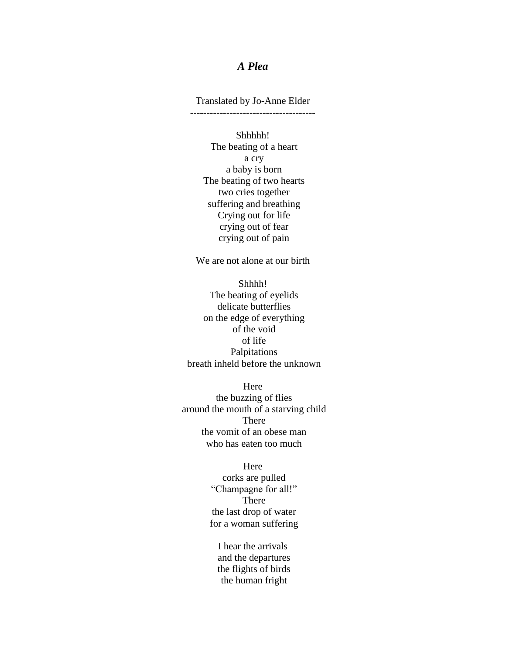## *A Plea*

Translated by Jo-Anne Elder --------------------------------------

Shhhhh! The beating of a heart a cry a baby is born The beating of two hearts two cries together suffering and breathing Crying out for life crying out of fear crying out of pain

We are not alone at our birth

Shhhh! The beating of eyelids delicate butterflies on the edge of everything of the void of life Palpitations breath inheld before the unknown

Here the buzzing of flies around the mouth of a starving child There the vomit of an obese man who has eaten too much

## Here

corks are pulled "Champagne for all!" There the last drop of water for a woman suffering

I hear the arrivals and the departures the flights of birds the human fright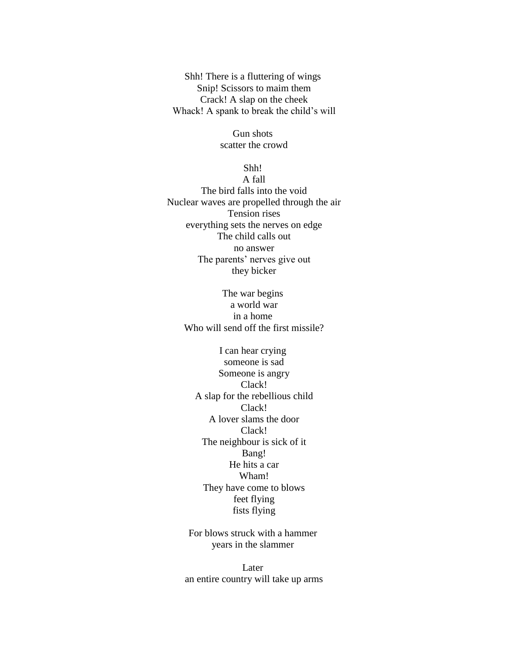Shh! There is a fluttering of wings Snip! Scissors to maim them Crack! A slap on the cheek Whack! A spank to break the child's will

> Gun shots scatter the crowd

> > Shh!

A fall The bird falls into the void Nuclear waves are propelled through the air Tension rises everything sets the nerves on edge The child calls out no answer The parents' nerves give out they bicker

> The war begins a world war in a home Who will send off the first missile?

I can hear crying someone is sad Someone is angry Clack! A slap for the rebellious child Clack! A lover slams the door Clack! The neighbour is sick of it Bang! He hits a car Wham! They have come to blows feet flying fists flying

For blows struck with a hammer years in the slammer

Later an entire country will take up arms